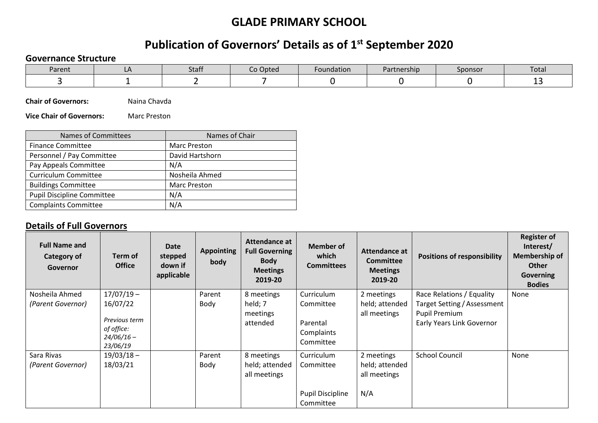## **GLADE PRIMARY SCHOOL**

## **Publication of Governors' Details as of 1st September 2020**

## **Governance Structure**

| Parent | <b>StdII</b> | o Opted | -oundation | Partnership | $\sim$ $\sim$ $\sim$ $\sim$ $\sim$<br>⊸µonsor | Total |
|--------|--------------|---------|------------|-------------|-----------------------------------------------|-------|
|        |              |         |            |             |                                               | --    |

**Chair of Governors:** Naina Chavda

**Vice Chair of Governors:** Marc Preston

| <b>Names of Committees</b>        | Names of Chair      |  |  |  |  |
|-----------------------------------|---------------------|--|--|--|--|
| <b>Finance Committee</b>          | <b>Marc Preston</b> |  |  |  |  |
| Personnel / Pay Committee         | David Hartshorn     |  |  |  |  |
| Pay Appeals Committee             | N/A                 |  |  |  |  |
| <b>Curriculum Committee</b>       | Nosheila Ahmed      |  |  |  |  |
| <b>Buildings Committee</b>        | <b>Marc Preston</b> |  |  |  |  |
| <b>Pupil Discipline Committee</b> | N/A                 |  |  |  |  |
| <b>Complaints Committee</b>       | N/A                 |  |  |  |  |

## **Details of Full Governors**

| <b>Full Name and</b><br>Category of<br>Governor | Term of<br><b>Office</b>                                                            | Date<br>stepped<br>down if<br>applicable | <b>Appointing</b><br>body | Attendance at<br><b>Full Governing</b><br><b>Body</b><br><b>Meetings</b><br>2019-20 | <b>Member of</b><br>which<br><b>Committees</b>                  | Attendance at<br>Committee<br><b>Meetings</b><br>2019-20 | <b>Positions of responsibility</b>                                                                            | <b>Register of</b><br>Interest/<br><b>Membership of</b><br><b>Other</b><br><b>Governing</b><br><b>Bodies</b> |  |
|-------------------------------------------------|-------------------------------------------------------------------------------------|------------------------------------------|---------------------------|-------------------------------------------------------------------------------------|-----------------------------------------------------------------|----------------------------------------------------------|---------------------------------------------------------------------------------------------------------------|--------------------------------------------------------------------------------------------------------------|--|
| Nosheila Ahmed<br>(Parent Governor)             | $17/07/19 -$<br>16/07/22<br>Previous term<br>of office:<br>$24/06/16 -$<br>23/06/19 |                                          | Parent<br>Body            | 8 meetings<br>held; 7<br>meetings<br>attended                                       | Curriculum<br>Committee<br>Parental<br>Complaints<br>Committee  | 2 meetings<br>held; attended<br>all meetings             | Race Relations / Equality<br>Target Setting / Assessment<br><b>Pupil Premium</b><br>Early Years Link Governor | None                                                                                                         |  |
| Sara Rivas<br>(Parent Governor)                 | $19/03/18 -$<br>18/03/21                                                            |                                          | Parent<br>Body            | 8 meetings<br>held; attended<br>all meetings                                        | Curriculum<br>Committee<br><b>Pupil Discipline</b><br>Committee | 2 meetings<br>held; attended<br>all meetings<br>N/A      | <b>School Council</b>                                                                                         | None                                                                                                         |  |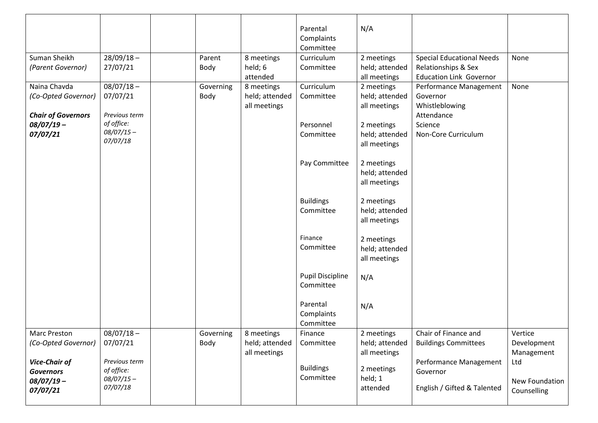|                                                                    |                                           |                   |                                              | Parental<br>Complaints<br>Committee  | N/A                                          |                                                                                           |                                             |
|--------------------------------------------------------------------|-------------------------------------------|-------------------|----------------------------------------------|--------------------------------------|----------------------------------------------|-------------------------------------------------------------------------------------------|---------------------------------------------|
| Suman Sheikh<br>(Parent Governor)                                  | $28/09/18 -$<br>27/07/21                  | Parent<br>Body    | 8 meetings<br>held; 6<br>attended            | Curriculum<br>Committee              | 2 meetings<br>held; attended<br>all meetings | <b>Special Educational Needs</b><br>Relationships & Sex<br><b>Education Link Governor</b> | None                                        |
| Naina Chavda<br>(Co-Opted Governor)<br><b>Chair of Governors</b>   | $08/07/18 -$<br>07/07/21<br>Previous term | Governing<br>Body | 8 meetings<br>held; attended<br>all meetings | Curriculum<br>Committee              | 2 meetings<br>held; attended<br>all meetings | Performance Management<br>Governor<br>Whistleblowing<br>Attendance                        | None                                        |
| $08/07/19 -$<br>07/07/21                                           | of office:<br>$08/07/15 -$<br>07/07/18    |                   |                                              | Personnel<br>Committee               | 2 meetings<br>held; attended<br>all meetings | Science<br>Non-Core Curriculum                                                            |                                             |
|                                                                    |                                           |                   |                                              | Pay Committee                        | 2 meetings<br>held; attended<br>all meetings |                                                                                           |                                             |
|                                                                    |                                           |                   |                                              | <b>Buildings</b><br>Committee        | 2 meetings<br>held; attended<br>all meetings |                                                                                           |                                             |
|                                                                    |                                           |                   |                                              | Finance<br>Committee                 | 2 meetings<br>held; attended<br>all meetings |                                                                                           |                                             |
|                                                                    |                                           |                   |                                              | <b>Pupil Discipline</b><br>Committee | N/A                                          |                                                                                           |                                             |
|                                                                    |                                           |                   |                                              | Parental<br>Complaints<br>Committee  | N/A                                          |                                                                                           |                                             |
| <b>Marc Preston</b><br>(Co-Opted Governor)<br><b>Vice-Chair of</b> | $08/07/18 -$<br>07/07/21<br>Previous term | Governing<br>Body | 8 meetings<br>held; attended<br>all meetings | Finance<br>Committee                 | 2 meetings<br>held; attended<br>all meetings | Chair of Finance and<br><b>Buildings Committees</b><br>Performance Management             | Vertice<br>Development<br>Management<br>Ltd |
| <b>Governors</b><br>$08/07/19 -$<br>07/07/21                       | of office:<br>$08/07/15 -$<br>07/07/18    |                   |                                              | <b>Buildings</b><br>Committee        | 2 meetings<br>held; 1<br>attended            | Governor<br>English / Gifted & Talented                                                   | New Foundation<br>Counselling               |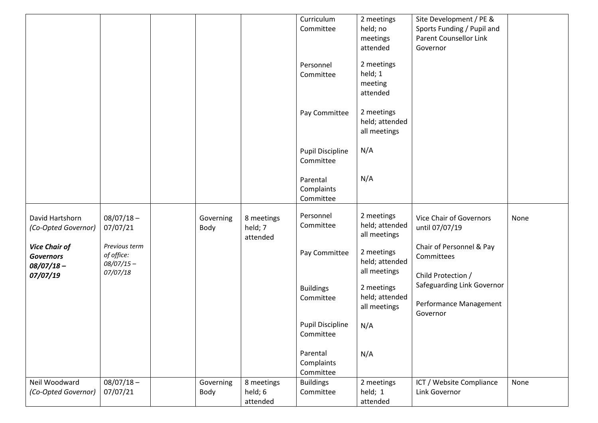|                                                          |                                                         |                   |                                   | Curriculum<br>Committee              | 2 meetings<br>held; no<br>meetings                       | Site Development / PE &<br>Sports Funding / Pupil and<br><b>Parent Counsellor Link</b> |      |
|----------------------------------------------------------|---------------------------------------------------------|-------------------|-----------------------------------|--------------------------------------|----------------------------------------------------------|----------------------------------------------------------------------------------------|------|
|                                                          |                                                         |                   |                                   | Personnel<br>Committee               | attended<br>2 meetings<br>held; 1<br>meeting<br>attended | Governor                                                                               |      |
|                                                          |                                                         |                   |                                   | Pay Committee                        | 2 meetings<br>held; attended<br>all meetings             |                                                                                        |      |
|                                                          |                                                         |                   |                                   | <b>Pupil Discipline</b><br>Committee | N/A                                                      |                                                                                        |      |
|                                                          |                                                         |                   |                                   | Parental<br>Complaints<br>Committee  | N/A                                                      |                                                                                        |      |
| David Hartshorn<br>(Co-Opted Governor)                   | $08/07/18 -$<br>07/07/21                                | Governing<br>Body | 8 meetings<br>held; 7<br>attended | Personnel<br>Committee               | 2 meetings<br>held; attended<br>all meetings             | Vice Chair of Governors<br>until 07/07/19                                              | None |
| <b>Vice Chair of</b><br><b>Governors</b><br>$08/07/18 -$ | Previous term<br>of office:<br>$08/07/15 -$<br>07/07/18 |                   |                                   | Pay Committee                        | 2 meetings<br>held; attended<br>all meetings             | Chair of Personnel & Pay<br>Committees                                                 |      |
| 07/07/19                                                 |                                                         |                   |                                   | <b>Buildings</b><br>Committee        | 2 meetings<br>held; attended<br>all meetings             | Child Protection /<br>Safeguarding Link Governor<br>Performance Management<br>Governor |      |
|                                                          |                                                         |                   |                                   | <b>Pupil Discipline</b><br>Committee | N/A                                                      |                                                                                        |      |
|                                                          |                                                         |                   |                                   | Parental<br>Complaints<br>Committee  | N/A                                                      |                                                                                        |      |
| Neil Woodward<br>(Co-Opted Governor)                     | $08/07/18 -$<br>07/07/21                                | Governing<br>Body | 8 meetings<br>held; 6<br>attended | <b>Buildings</b><br>Committee        | 2 meetings<br>held; 1<br>attended                        | ICT / Website Compliance<br>Link Governor                                              | None |